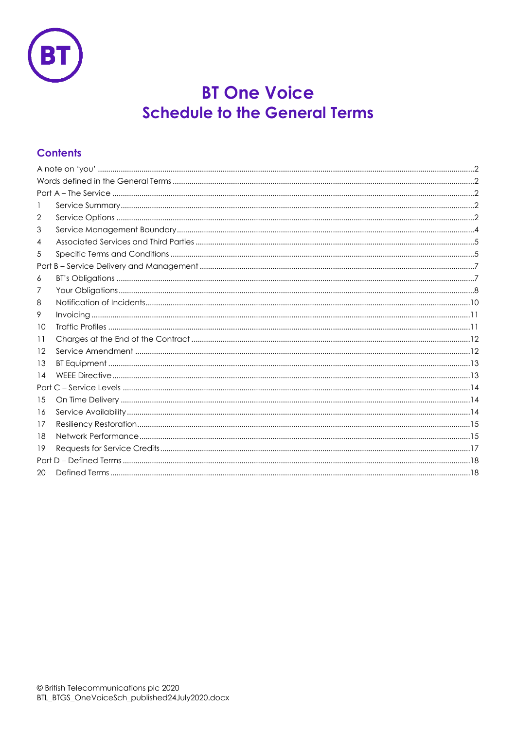

# **BT One Voice Schedule to the General Terms**

# **Contents**

| 1       |  |  |  |  |  |
|---------|--|--|--|--|--|
| 2       |  |  |  |  |  |
| 3       |  |  |  |  |  |
| 4       |  |  |  |  |  |
| 5       |  |  |  |  |  |
|         |  |  |  |  |  |
| 6       |  |  |  |  |  |
| 7       |  |  |  |  |  |
| 8       |  |  |  |  |  |
| 9       |  |  |  |  |  |
| 10      |  |  |  |  |  |
| 11      |  |  |  |  |  |
| $12 \,$ |  |  |  |  |  |
| 13      |  |  |  |  |  |
| 14      |  |  |  |  |  |
|         |  |  |  |  |  |
| 15      |  |  |  |  |  |
| 16      |  |  |  |  |  |
| 17      |  |  |  |  |  |
| 18      |  |  |  |  |  |
| 19      |  |  |  |  |  |
|         |  |  |  |  |  |
| 20      |  |  |  |  |  |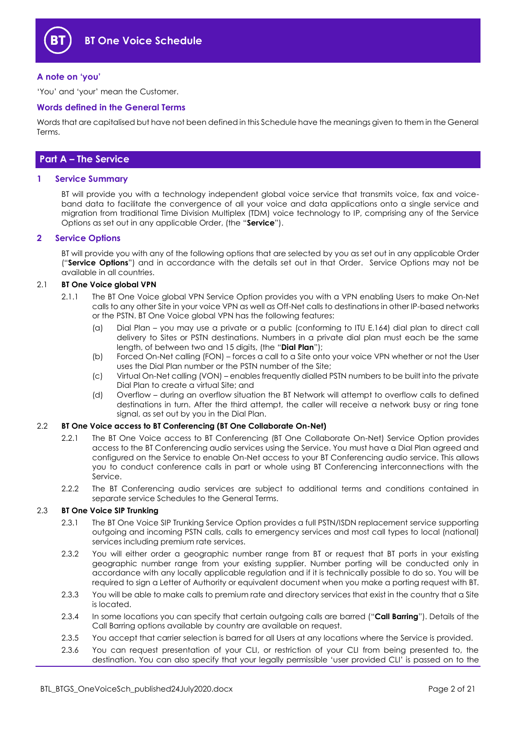

#### <span id="page-1-0"></span>**A note on 'you'**

'You' and 'your' mean the Customer.

#### <span id="page-1-1"></span>**Words defined in the General Terms**

Words that are capitalised but have not been defined in this Schedule have the meanings given to them in the General Terms.

# <span id="page-1-2"></span>**Part A – The Service**

#### <span id="page-1-3"></span>**1 Service Summary**

BT will provide you with a technology independent global voice service that transmits voice, fax and voiceband data to facilitate the convergence of all your voice and data applications onto a single service and migration from traditional Time Division Multiplex (TDM) voice technology to IP, comprising any of the Service Options as set out in any applicable Order, (the "**Service**").

#### <span id="page-1-4"></span>**2 Service Options**

BT will provide you with any of the following options that are selected by you as set out in any applicable Order ("**Service Options**") and in accordance with the details set out in that Order. Service Options may not be available in all countries.

#### <span id="page-1-6"></span>2.1 **BT One Voice global VPN**

- <span id="page-1-9"></span>2.1.1 The BT One Voice global VPN Service Option provides you with a VPN enabling Users to make On-Net calls to any other Site in your voice VPN as well as Off-Net calls to destinations in other IP-based networks or the PSTN. BT One Voice global VPN has the following features:
	- (a) Dial Plan you may use a private or a public (conforming to ITU E.164) dial plan to direct call delivery to Sites or PSTN destinations. Numbers in a private dial plan must each be the same length, of between two and 15 digits, (the "**Dial Plan**");
	- (b) Forced On-Net calling (FON) forces a call to a Site onto your voice VPN whether or not the User uses the Dial Plan number or the PSTN number of the Site;
	- (c) Virtual On-Net calling (VON) enables frequently dialled PSTN numbers to be built into the private Dial Plan to create a virtual Site; and
	- (d) Overflow during an overflow situation the BT Network will attempt to overflow calls to defined destinations in turn. After the third attempt, the caller will receive a network busy or ring tone signal, as set out by you in the Dial Plan.

#### <span id="page-1-5"></span>2.2 **BT One Voice access to BT Conferencing (BT One Collaborate On-Net)**

- 2.2.1 The BT One Voice access to BT Conferencing (BT One Collaborate On-Net) Service Option provides access to the BT Conferencing audio services using the Service. You must have a Dial Plan agreed and configured on the Service to enable On-Net access to your BT Conferencing audio service. This allows you to conduct conference calls in part or whole using BT Conferencing interconnections with the Service.
- 2.2.2 The BT Conferencing audio services are subject to additional terms and conditions contained in separate service Schedules to the General Terms.

#### <span id="page-1-7"></span>2.3 **BT One Voice SIP Trunking**

- 2.3.1 The BT One Voice SIP Trunking Service Option provides a full PSTN/ISDN replacement service supporting outgoing and incoming PSTN calls, calls to emergency services and most call types to local (national) services including premium rate services.
- 2.3.2 You will either order a geographic number range from BT or request that BT ports in your existing geographic number range from your existing supplier. Number porting will be conducted only in accordance with any locally applicable regulation and if it is technically possible to do so. You will be required to sign a Letter of Authority or equivalent document when you make a porting request with BT.
- 2.3.3 You will be able to make calls to premium rate and directory services that exist in the country that a Site is located.
- <span id="page-1-8"></span>2.3.4 In some locations you can specify that certain outgoing calls are barred ("**Call Barring**"). Details of the Call Barring options available by country are available on request.
- 2.3.5 You accept that carrier selection is barred for all Users at any locations where the Service is provided.
- 2.3.6 You can request presentation of your CLI, or restriction of your CLI from being presented to, the destination. You can also specify that your legally permissible 'user provided CLI' is passed on to the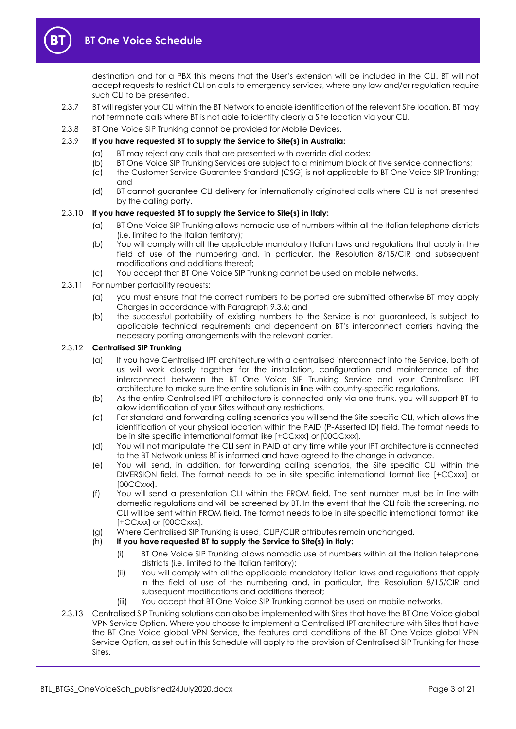

destination and for a PBX this means that the User's extension will be included in the CLI. BT will not accept requests to restrict CLI on calls to emergency services, where any law and/or regulation require such CLI to be presented.

- 2.3.7 BT will register your CLI within the BT Network to enable identification of the relevant Site location. BT may not terminate calls where BT is not able to identify clearly a Site location via your CLI.
- 2.3.8 BT One Voice SIP Trunking cannot be provided for Mobile Devices.

#### 2.3.9 **If you have requested BT to supply the Service to Site(s) in Australia:**

- (a) BT may reject any calls that are presented with override dial codes;
- (b) BT One Voice SIP Trunking Services are subject to a minimum block of five service connections;
- (c) the Customer Service Guarantee Standard (CSG) is not applicable to BT One Voice SIP Trunking; and
- (d) BT cannot guarantee CLI delivery for internationally originated calls where CLI is not presented by the calling party.

#### 2.3.10 **If you have requested BT to supply the Service to Site(s) in Italy:**

- (a) BT One Voice SIP Trunking allows nomadic use of numbers within all the Italian telephone districts (i.e. limited to the Italian territory);
- (b) You will comply with all the applicable mandatory Italian laws and regulations that apply in the field of use of the numbering and, in particular, the Resolution 8/15/CIR and subsequent modifications and additions thereof;
- (c) You accept that BT One Voice SIP Trunking cannot be used on mobile networks.
- 2.3.11 For number portability requests:
	- (a) you must ensure that the correct numbers to be ported are submitted otherwise BT may apply Charges in accordance with Paragraph [9.3.6;](#page-10-2) and
	- (b) the successful portability of existing numbers to the Service is not guaranteed, is subject to applicable technical requirements and dependent on BT's interconnect carriers having the necessary porting arrangements with the relevant carrier.

#### <span id="page-2-0"></span>2.3.12 **Centralised SIP Trunking**

- (a) If you have Centralised IPT architecture with a centralised interconnect into the Service, both of us will work closely together for the installation, configuration and maintenance of the interconnect between the BT One Voice SIP Trunking Service and your Centralised IPT architecture to make sure the entire solution is in line with country-specific regulations.
- (b) As the entire Centralised IPT architecture is connected only via one trunk, you will support BT to allow identification of your Sites without any restrictions.
- (c) For standard and forwarding calling scenarios you will send the Site specific CLI, which allows the identification of your physical location within the PAID (P-Asserted ID) field. The format needs to be in site specific international format like [+CCxxx] or [00CCxxx].
- (d) You will not manipulate the CLI sent in PAID at any time while your IPT architecture is connected to the BT Network unless BT is informed and have agreed to the change in advance.
- (e) You will send, in addition, for forwarding calling scenarios, the Site specific CLI within the DIVERSION field. The format needs to be in site specific international format like [+CCxxx] or [00CCxxx].
- (f) You will send a presentation CLI within the FROM field. The sent number must be in line with domestic regulations and will be screened by BT. In the event that the CLI fails the screening, no CLI will be sent within FROM field. The format needs to be in site specific international format like [+CCxxx] or [00CCxxx].
- (g) Where Centralised SIP Trunking is used, CLIP/CLIR attributes remain unchanged.
- (h) **If you have requested BT to supply the Service to Site(s) in Italy:**
	- (i) BT One Voice SIP Trunking allows nomadic use of numbers within all the Italian telephone districts (i.e. limited to the Italian territory);
	- (ii) You will comply with all the applicable mandatory Italian laws and regulations that apply in the field of use of the numbering and, in particular, the Resolution 8/15/CIR and subsequent modifications and additions thereof;
	- (iii) You accept that BT One Voice SIP Trunking cannot be used on mobile networks.
- 2.3.13 Centralised SIP Trunking solutions can also be implemented with Sites that have the BT One Voice global VPN Service Option. Where you choose to implement a Centralised IPT architecture with Sites that have the BT One Voice global VPN Service, the features and conditions of the BT One Voice global VPN Service Option, as set out in this Schedule will apply to the provision of Centralised SIP Trunking for those Sites.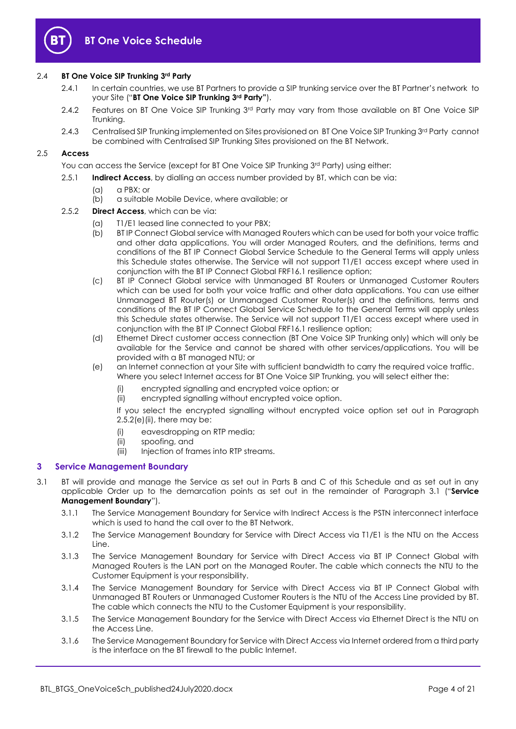

#### 2.4 **BT One Voice SIP Trunking 3rd Party**

- 2.4.1 In certain countries, we use BT Partners to provide a SIP trunking service over the BT Partner's network to your Site ("**BT One Voice SIP Trunking 3rd Party"**).
- 2.4.2 Features on BT One Voice SIP Trunking 3rd Party may vary from those available on BT One Voice SIP Trunking.
- 2.4.3 Centralised SIP Trunking implemented on Sites provisioned on BT One Voice SIP Trunking 3<sup>rd</sup> Party cannot be combined with Centralised SIP Trunking Sites provisioned on the BT Network.

#### <span id="page-3-5"></span>2.5 **Access**

You can access the Service (except for BT One Voice SIP Trunking 3rd Party) using either:

- 2.5.1 **Indirect Access**, by dialling an access number provided by BT, which can be via:
	- (a) a PBX; or
	- (b) a suitable Mobile Device, where available; or

#### <span id="page-3-4"></span>2.5.2 **Direct Access**, which can be via:

- (a) T1/E1 leased line connected to your PBX;
- (b) BT IP Connect Global service with Managed Routers which can be used for both your voice traffic and other data applications. You will order Managed Routers, and the definitions, terms and conditions of the BT IP Connect Global Service Schedule to the General Terms will apply unless this Schedule states otherwise. The Service will not support T1/E1 access except where used in conjunction with the BT IP Connect Global FRF16.1 resilience option;
- (c) BT IP Connect Global service with Unmanaged BT Routers or Unmanaged Customer Routers which can be used for both your voice traffic and other data applications. You can use either Unmanaged BT Router(s) or Unmanaged Customer Router(s) and the definitions, terms and conditions of the BT IP Connect Global Service Schedule to the General Terms will apply unless this Schedule states otherwise. The Service will not support T1/E1 access except where used in conjunction with the BT IP Connect Global FRF16.1 resilience option;
- (d) Ethernet Direct customer access connection (BT One Voice SIP Trunking only) which will only be available for the Service and cannot be shared with other services/applications. You will be provided with a BT managed NTU; or
- <span id="page-3-1"></span>(e) an Internet connection at your Site with sufficient bandwidth to carry the required voice traffic. Where you select Internet access for BT One Voice SIP Trunking, you will select either the:
	- (i) encrypted signalling and encrypted voice option; or
	- (ii) encrypted signalling without encrypted voice option.

If you select the encrypted signalling without encrypted voice option set out in Paragraph  $2.5.2(e)$  (ii), there may be:

- (i) eavesdropping on RTP media;
- (ii) spoofing, and
- (iii) Injection of frames into RTP streams.

#### <span id="page-3-0"></span>**3 Service Management Boundary**

- <span id="page-3-3"></span><span id="page-3-2"></span>3.1 BT will provide and manage the Service as set out in Parts B and C of this Schedule and as set out in any applicable Order up to the demarcation points as set out in the remainder of Paragraph [3.1](#page-3-2) ("**Service Management Boundary**").
	- 3.1.1 The Service Management Boundary for Service with Indirect Access is the PSTN interconnect interface which is used to hand the call over to the BT Network.
	- 3.1.2 The Service Management Boundary for Service with Direct Access via T1/E1 is the NTU on the Access Line.
	- 3.1.3 The Service Management Boundary for Service with Direct Access via BT IP Connect Global with Managed Routers is the LAN port on the Managed Router. The cable which connects the NTU to the Customer Equipment is your responsibility.
	- 3.1.4 The Service Management Boundary for Service with Direct Access via BT IP Connect Global with Unmanaged BT Routers or Unmanaged Customer Routers is the NTU of the Access Line provided by BT. The cable which connects the NTU to the Customer Equipment is your responsibility.
	- 3.1.5 The Service Management Boundary for the Service with Direct Access via Ethernet Direct is the NTU on the Access Line.
	- 3.1.6 The Service Management Boundary for Service with Direct Access via Internet ordered from a third party is the interface on the BT firewall to the public Internet.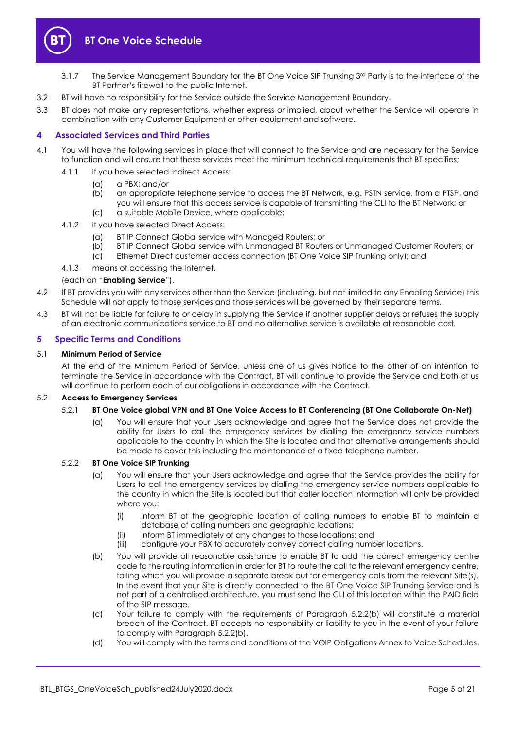

# **BT One Voice Schedule**

- 3.1.7 The Service Management Boundary for the BT One Voice SIP Trunking 3 rd Party is to the interface of the BT Partner's firewall to the public Internet.
- 3.2 BT will have no responsibility for the Service outside the Service Management Boundary.
- 3.3 BT does not make any representations, whether express or implied, about whether the Service will operate in combination with any Customer Equipment or other equipment and software.

# <span id="page-4-0"></span>**4 Associated Services and Third Parties**

- <span id="page-4-3"></span>4.1 You will have the following services in place that will connect to the Service and are necessary for the Service to function and will ensure that these services meet the minimum technical requirements that BT specifies;
	- 4.1.1 if you have selected Indirect Access:
		- (a) a PBX; and/or
		- (b) an appropriate telephone service to access the BT Network, e.g. PSTN service, from a PTSP, and you will ensure that this access service is capable of transmitting the CLI to the BT Network; or (c) a suitable Mobile Device, where applicable;
	- 4.1.2 if you have selected Direct Access:
		- (a) BT IP Connect Global service with Managed Routers; or
		- (b) BT IP Connect Global service with Unmanaged BT Routers or Unmanaged Customer Routers; or
		- (c) Ethernet Direct customer access connection (BT One Voice SIP Trunking only); and
	- 4.1.3 means of accessing the Internet,

#### (each an "**Enabling Service**").

- 4.2 If BT provides you with any services other than the Service (including, but not limited to any Enabling Service) this Schedule will not apply to those services and those services will be governed by their separate terms.
- 4.3 BT will not be liable for failure to or delay in supplying the Service if another supplier delays or refuses the supply of an electronic communications service to BT and no alternative service is available at reasonable cost.

#### <span id="page-4-1"></span>**5 Specific Terms and Conditions**

#### 5.1 **Minimum Period of Service**

At the end of the Minimum Period of Service, unless one of us gives Notice to the other of an intention to terminate the Service in accordance with the Contract, BT will continue to provide the Service and both of us will continue to perform each of our obligations in accordance with the Contract.

#### 5.2 **Access to Emergency Services**

#### 5.2.1 **BT One Voice global VPN and BT One Voice Access to BT Conferencing (BT One Collaborate On-Net)**

(a) You will ensure that your Users acknowledge and agree that the Service does not provide the ability for Users to call the emergency services by dialling the emergency service numbers applicable to the country in which the Site is located and that alternative arrangements should be made to cover this including the maintenance of a fixed telephone number.

#### 5.2.2 **BT One Voice SIP Trunking**

- (a) You will ensure that your Users acknowledge and agree that the Service provides the ability for Users to call the emergency services by dialling the emergency service numbers applicable to the country in which the Site is located but that caller location information will only be provided where you:
	- (i) inform BT of the geographic location of calling numbers to enable BT to maintain a database of calling numbers and geographic locations;
	- (ii) inform BT immediately of any changes to those locations; and
	- (iii) configure your PBX to accurately convey correct calling number locations.
- <span id="page-4-2"></span>(b) You will provide all reasonable assistance to enable BT to add the correct emergency centre code to the routing information in order for BT to route the call to the relevant emergency centre, failing which you will provide a separate break out for emergency calls from the relevant Site(s). In the event that your Site is directly connected to the BT One Voice SIP Trunking Service and is not part of a centralised architecture, you must send the CLI of this location within the PAID field of the SIP message.
- (c) Your failure to comply with the requirements of Paragraph [5.2.2\(b\)](#page-4-2) will constitute a material breach of the Contract. BT accepts no responsibility or liability to you in the event of your failure to comply with Paragraph [5.2.2\(b\).](#page-4-2)
- (d) You will comply with the terms and conditions of the VOIP Obligations Annex to Voice Schedules.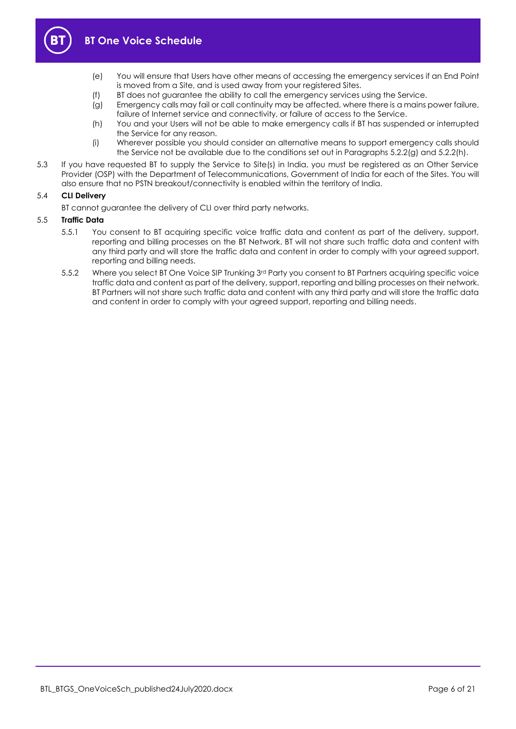<span id="page-5-2"></span>

- (e) You will ensure that Users have other means of accessing the emergency services if an End Point is moved from a Site, and is used away from your registered Sites.
- (f) BT does not guarantee the ability to call the emergency services using the Service.
- <span id="page-5-0"></span>(g) Emergency calls may fail or call continuity may be affected, where there is a mains power failure, failure of Internet service and connectivity, or failure of access to the Service.
- (h) You and your Users will not be able to make emergency calls if BT has suspended or interrupted the Service for any reason.
- (i) Wherever possible you should consider an alternative means to support emergency calls should the Service not be available due to the conditions set out in Paragraphs [5.2.2\(g\)](#page-5-0) and [5.2.2\(h\).](#page-5-1)
- <span id="page-5-1"></span>5.3 If you have requested BT to supply the Service to Site(s) in India, you must be registered as an Other Service Provider (OSP) with the Department of Telecommunications, Government of India for each of the Sites. You will also ensure that no PSTN breakout/connectivity is enabled within the territory of India.

#### 5.4 **CLI Delivery**

BT cannot guarantee the delivery of CLI over third party networks.

#### 5.5 **Traffic Data**

- 5.5.1 You consent to BT acquiring specific voice traffic data and content as part of the delivery, support, reporting and billing processes on the BT Network. BT will not share such traffic data and content with any third party and will store the traffic data and content in order to comply with your agreed support, reporting and billing needs.
- 5.5.2 Where you select BT One Voice SIP Trunking 3<sup>rd</sup> Party you consent to BT Partners acquiring specific voice traffic data and content as part of the delivery, support, reporting and billing processes on their network. BT Partners will not share such traffic data and content with any third party and will store the traffic data and content in order to comply with your agreed support, reporting and billing needs.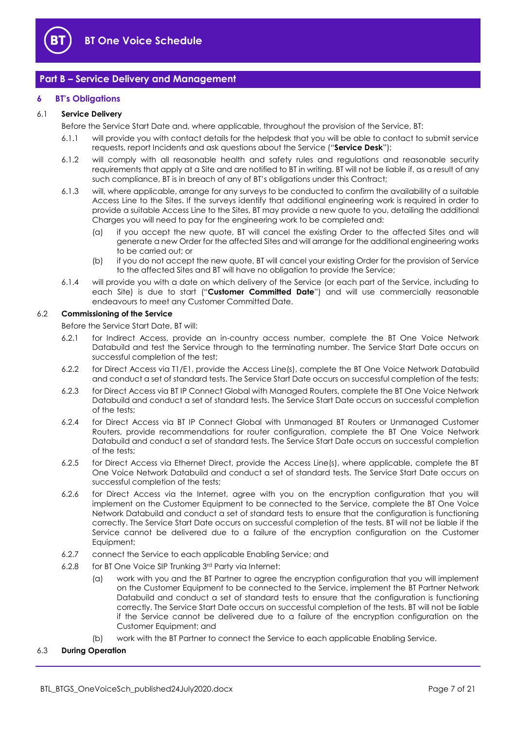

# <span id="page-6-0"></span>**Part B – Service Delivery and Management**

#### <span id="page-6-1"></span>**6 BT's Obligations**

#### <span id="page-6-3"></span>6.1 **Service Delivery**

Before the Service Start Date and, where applicable, throughout the provision of the Service, BT:

- 6.1.1 will provide you with contact details for the helpdesk that you will be able to contact to submit service requests, report Incidents and ask questions about the Service ("**Service Desk**");
- 6.1.2 will comply with all reasonable health and safety rules and regulations and reasonable security requirements that apply at a Site and are notified to BT in writing. BT will not be liable if, as a result of any such compliance, BT is in breach of any of BT's obligations under this Contract;
- 6.1.3 will, where applicable, arrange for any surveys to be conducted to confirm the availability of a suitable Access Line to the Sites. If the surveys identify that additional engineering work is required in order to provide a suitable Access Line to the Sites, BT may provide a new quote to you, detailing the additional Charges you will need to pay for the engineering work to be completed and:
	- (a) if you accept the new quote, BT will cancel the existing Order to the affected Sites and will generate a new Order for the affected Sites and will arrange for the additional engineering works to be carried out; or
	- (b) if you do not accept the new quote, BT will cancel your existing Order for the provision of Service to the affected Sites and BT will have no obligation to provide the Service;
- 6.1.4 will provide you with a date on which delivery of the Service (or each part of the Service, including to each Site) is due to start ("**Customer Committed Date**") and will use commercially reasonable endeavours to meet any Customer Committed Date.

#### <span id="page-6-2"></span>6.2 **Commissioning of the Service**

Before the Service Start Date, BT will:

- 6.2.1 for Indirect Access, provide an in-country access number, complete the BT One Voice Network Databuild and test the Service through to the terminating number. The Service Start Date occurs on successful completion of the test;
- 6.2.2 for Direct Access via T1/E1, provide the Access Line(s), complete the BT One Voice Network Databuild and conduct a set of standard tests. The Service Start Date occurs on successful completion of the tests;
- 6.2.3 for Direct Access via BT IP Connect Global with Managed Routers, complete the BT One Voice Network Databuild and conduct a set of standard tests. The Service Start Date occurs on successful completion of the tests;
- 6.2.4 for Direct Access via BT IP Connect Global with Unmanaged BT Routers or Unmanaged Customer Routers, provide recommendations for router configuration, complete the BT One Voice Network Databuild and conduct a set of standard tests. The Service Start Date occurs on successful completion of the tests;
- 6.2.5 for Direct Access via Ethernet Direct, provide the Access Line(s), where applicable, complete the BT One Voice Network Databuild and conduct a set of standard tests. The Service Start Date occurs on successful completion of the tests;
- 6.2.6 for Direct Access via the Internet, agree with you on the encryption configuration that you will implement on the Customer Equipment to be connected to the Service, complete the BT One Voice Network Databuild and conduct a set of standard tests to ensure that the configuration is functioning correctly. The Service Start Date occurs on successful completion of the tests. BT will not be liable if the Service cannot be delivered due to a failure of the encryption configuration on the Customer Equipment;
- 6.2.7 connect the Service to each applicable Enabling Service; and
- 6.2.8 for BT One Voice SIP Trunking 3rd Party via Internet:
	- (a) work with you and the BT Partner to agree the encryption configuration that you will implement on the Customer Equipment to be connected to the Service, implement the BT Partner Network Databuild and conduct a set of standard tests to ensure that the configuration is functioning correctly. The Service Start Date occurs on successful completion of the tests. BT will not be liable if the Service cannot be delivered due to a failure of the encryption configuration on the Customer Equipment; and
	- (b) work with the BT Partner to connect the Service to each applicable Enabling Service.

#### 6.3 **During Operation**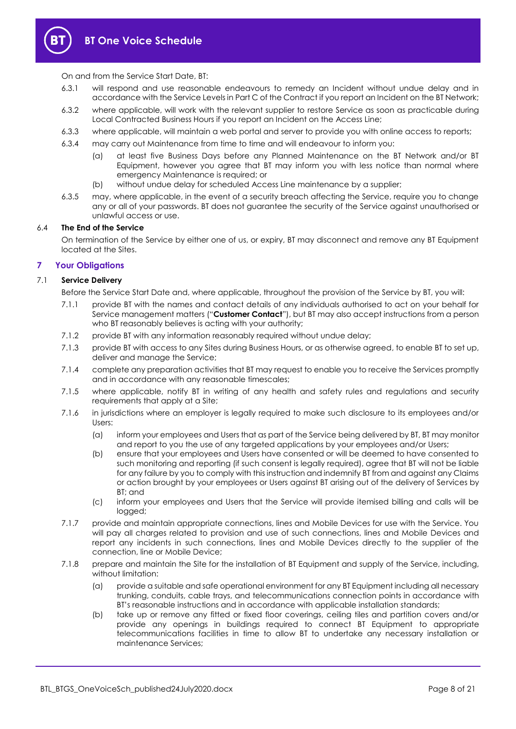

On and from the Service Start Date, BT:

- 6.3.1 will respond and use reasonable endeavours to remedy an Incident without undue delay and in accordance with the Service Levels in Part C of the Contract if you report an Incident on the BT Network;
- 6.3.2 where applicable, will work with the relevant supplier to restore Service as soon as practicable during Local Contracted Business Hours if you report an Incident on the Access Line;
- 6.3.3 where applicable, will maintain a web portal and server to provide you with online access to reports;
- 6.3.4 may carry out Maintenance from time to time and will endeavour to inform you:
	- (a) at least five Business Days before any Planned Maintenance on the BT Network and/or BT Equipment, however you agree that BT may inform you with less notice than normal where emergency Maintenance is required; or
	- (b) without undue delay for scheduled Access Line maintenance by a supplier;
- 6.3.5 may, where applicable, in the event of a security breach affecting the Service, require you to change any or all of your passwords. BT does not guarantee the security of the Service against unauthorised or unlawful access or use.

#### <span id="page-7-1"></span>6.4 **The End of the Service**

On termination of the Service by either one of us, or expiry, BT may disconnect and remove any BT Equipment located at the Sites.

#### <span id="page-7-0"></span>**7 Your Obligations**

#### <span id="page-7-2"></span>7.1 **Service Delivery**

Before the Service Start Date and, where applicable, throughout the provision of the Service by BT, you will:

- 7.1.1 provide BT with the names and contact details of any individuals authorised to act on your behalf for Service management matters ("**Customer Contact**"), but BT may also accept instructions from a person who BT reasonably believes is acting with your authority;
- 7.1.2 provide BT with any information reasonably required without undue delay;
- 7.1.3 provide BT with access to any Sites during Business Hours, or as otherwise agreed, to enable BT to set up, deliver and manage the Service;
- 7.1.4 complete any preparation activities that BT may request to enable you to receive the Services promptly and in accordance with any reasonable timescales;
- 7.1.5 where applicable, notify BT in writing of any health and safety rules and regulations and security requirements that apply at a Site;
- 7.1.6 in jurisdictions where an employer is legally required to make such disclosure to its employees and/or Users:
	- (a) inform your employees and Users that as part of the Service being delivered by BT, BT may monitor and report to you the use of any targeted applications by your employees and/or Users;
	- (b) ensure that your employees and Users have consented or will be deemed to have consented to such monitoring and reporting (if such consent is legally required), agree that BT will not be liable for any failure by you to comply with this instruction and indemnify BT from and against any Claims or action brought by your employees or Users against BT arising out of the delivery of Services by BT; and
	- (c) inform your employees and Users that the Service will provide itemised billing and calls will be logged;
- 7.1.7 provide and maintain appropriate connections, lines and Mobile Devices for use with the Service. You will pay all charges related to provision and use of such connections, lines and Mobile Devices and report any incidents in such connections, lines and Mobile Devices directly to the supplier of the connection, line or Mobile Device;
- 7.1.8 prepare and maintain the Site for the installation of BT Equipment and supply of the Service, including, without limitation:
	- (a) provide a suitable and safe operational environment for any BT Equipment including all necessary trunking, conduits, cable trays, and telecommunications connection points in accordance with BT's reasonable instructions and in accordance with applicable installation standards;
	- (b) take up or remove any fitted or fixed floor coverings, ceiling tiles and partition covers and/or provide any openings in buildings required to connect BT Equipment to appropriate telecommunications facilities in time to allow BT to undertake any necessary installation or maintenance Services;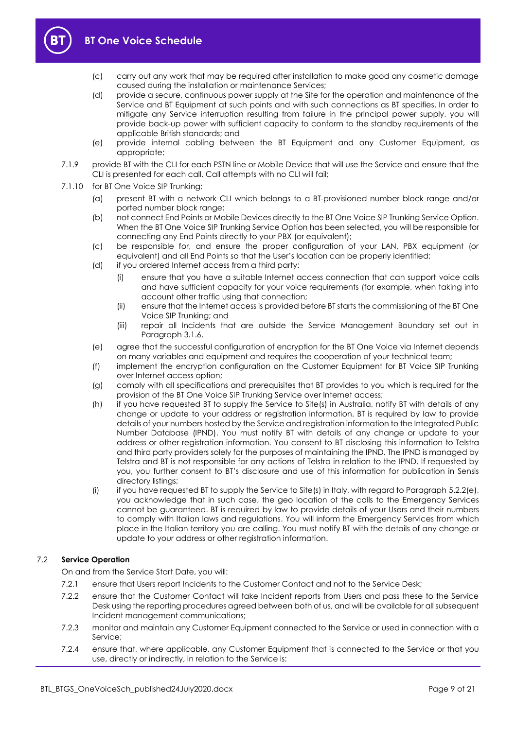

- (c) carry out any work that may be required after installation to make good any cosmetic damage caused during the installation or maintenance Services;
- (d) provide a secure, continuous power supply at the Site for the operation and maintenance of the Service and BT Equipment at such points and with such connections as BT specifies. In order to mitigate any Service interruption resulting from failure in the principal power supply, you will provide back-up power with sufficient capacity to conform to the standby requirements of the applicable British standards; and
- (e) provide internal cabling between the BT Equipment and any Customer Equipment, as appropriate;
- 7.1.9 provide BT with the CLI for each PSTN line or Mobile Device that will use the Service and ensure that the CLI is presented for each call. Call attempts with no CLI will fail;
- 7.1.10 for BT One Voice SIP Trunking:
	- (a) present BT with a network CLI which belongs to a BT-provisioned number block range and/or ported number block range;
	- (b) not connect End Points or Mobile Devices directly to the BT One Voice SIP Trunking Service Option. When the BT One Voice SIP Trunking Service Option has been selected, you will be responsible for connecting any End Points directly to your PBX (or equivalent);
	- (c) be responsible for, and ensure the proper configuration of your LAN, PBX equipment (or equivalent) and all End Points so that the User's location can be properly identified;
	- (d) if you ordered Internet access from a third party:
		- (i) ensure that you have a suitable Internet access connection that can support voice calls and have sufficient capacity for your voice requirements (for example, when taking into account other traffic using that connection;
		- (ii) ensure that the Internet access is provided before BT starts the commissioning of the BT One Voice SIP Trunking; and
		- (iii) repair all Incidents that are outside the Service Management Boundary set out in Paragraph [3.1.6.](#page-3-3)
	- (e) agree that the successful configuration of encryption for the BT One Voice via Internet depends on many variables and equipment and requires the cooperation of your technical team;
	- (f) implement the encryption configuration on the Customer Equipment for BT Voice SIP Trunking over Internet access option;
	- (g) comply with all specifications and prerequisites that BT provides to you which is required for the provision of the BT One Voice SIP Trunking Service over Internet access;
	- (h) if you have requested BT to supply the Service to Site(s) in Australia, notify BT with details of any change or update to your address or registration information. BT is required by law to provide details of your numbers hosted by the Service and registration information to the Integrated Public Number Database (IPND). You must notify BT with details of any change or update to your address or other registration information. You consent to BT disclosing this information to Telstra and third party providers solely for the purposes of maintaining the IPND. The IPND is managed by Telstra and BT is not responsible for any actions of Telstra in relation to the IPND. If requested by you, you further consent to BT's disclosure and use of this information for publication in Sensis directory listings;
	- (i) if you have requested BT to supply the Service to Site(s) in Italy, with regard to Paragraph [5.2.2\(e\),](#page-5-2)  you acknowledge that in such case, the geo location of the calls to the Emergency Services cannot be guaranteed. BT is required by law to provide details of your Users and their numbers to comply with Italian laws and regulations. You will inform the Emergency Services from which place in the Italian territory you are calling. You must notify BT with the details of any change or update to your address or other registration information.

#### 7.2 **Service Operation**

On and from the Service Start Date, you will:

- 7.2.1 ensure that Users report Incidents to the Customer Contact and not to the Service Desk;
- 7.2.2 ensure that the Customer Contact will take Incident reports from Users and pass these to the Service Desk using the reporting procedures agreed between both of us, and will be available for all subsequent Incident management communications;
- 7.2.3 monitor and maintain any Customer Equipment connected to the Service or used in connection with a Service;
- 7.2.4 ensure that, where applicable, any Customer Equipment that is connected to the Service or that you use, directly or indirectly, in relation to the Service is: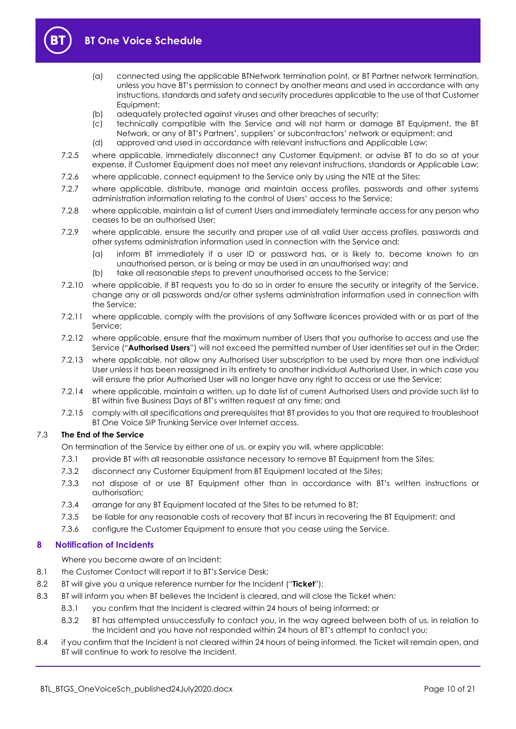

# **BT One Voice Schedule**

- (a) connected using the applicable BTNetwork termination point, or BT Partner network termination, unless you have BT's permission to connect by another means and used in accordance with any instructions, standards and safety and security procedures applicable to the use of that Customer Equipment;
- (b) adequately protected against viruses and other breaches of security;
- (c) technically compatible with the Service and will not harm or damage BT Equipment, the BT Network, or any of BT's Partners', suppliers' or subcontractors' network or equipment; and
- (d) approved and used in accordance with relevant instructions and Applicable Law;
- 7.2.5 where applicable, immediately disconnect any Customer Equipment, or advise BT to do so at your expense, if Customer Equipment does not meet any relevant instructions, standards or Applicable Law;
- 7.2.6 where applicable, connect equipment to the Service only by using the NTE at the Sites;
- 7.2.7 where applicable, distribute, manage and maintain access profiles, passwords and other systems administration information relating to the control of Users' access to the Service;
- 7.2.8 where applicable, maintain a list of current Users and immediately terminate access for any person who ceases to be an authorised User;
- 7.2.9 where applicable, ensure the security and proper use of all valid User access profiles, passwords and other systems administration information used in connection with the Service and:
	- (a) inform BT immediately if a user ID or password has, or is likely to, become known to an unauthorised person, or is being or may be used in an unauthorised way; and
	- (b) take all reasonable steps to prevent unauthorised access to the Service;
- 7.2.10 where applicable, if BT requests you to do so in order to ensure the security or integrity of the Service, change any or all passwords and/or other systems administration information used in connection with the Service;
- 7.2.11 where applicable, comply with the provisions of any Software licences provided with or as part of the Service;
- <span id="page-9-2"></span>7.2.12 where applicable, ensure that the maximum number of Users that you authorise to access and use the Service ("**Authorised Users**") will not exceed the permitted number of User identities set out in the Order;
- 7.2.13 where applicable, not allow any Authorised User subscription to be used by more than one individual User unless it has been reassigned in its entirety to another individual Authorised User, in which case you will ensure the prior Authorised User will no longer have any right to access or use the Service;
- 7.2.14 where applicable, maintain a written, up to date list of current Authorised Users and provide such list to BT within five Business Days of BT's written request at any time; and
- 7.2.15 comply with all specifications and prerequisites that BT provides to you that are required to troubleshoot BT One Voice SIP Trunking Service over Internet access.

#### 7.3 **The End of the Service**

On termination of the Service by either one of us, or expiry you will, where applicable:

- 7.3.1 provide BT with all reasonable assistance necessary to remove BT Equipment from the Sites;
- 7.3.2 disconnect any Customer Equipment from BT Equipment located at the Sites;
- 7.3.3 not dispose of or use BT Equipment other than in accordance with BT's written instructions or authorisation;
- 7.3.4 arrange for any BT Equipment located at the Sites to be returned to BT;
- 7.3.5 be liable for any reasonable costs of recovery that BT incurs in recovering the BT Equipment; and
- 7.3.6 configure the Customer Equipment to ensure that you cease using the Service.

# <span id="page-9-0"></span>**8 Notification of Incidents**

Where you become aware of an Incident:

- 8.1 the Customer Contact will report it to BT's Service Desk;
- <span id="page-9-3"></span>8.2 BT will give you a unique reference number for the Incident ("**Ticket**");
- <span id="page-9-1"></span>8.3 BT will inform you when BT believes the Incident is cleared, and will close the Ticket when:
	- 8.3.1 you confirm that the Incident is cleared within 24 hours of being informed; or
	- 8.3.2 BT has attempted unsuccessfully to contact you, in the way agreed between both of us, in relation to the Incident and you have not responded within 24 hours of BT's attempt to contact you;
- 8.4 if you confirm that the Incident is not cleared within 24 hours of being informed, the Ticket will remain open, and BT will continue to work to resolve the Incident.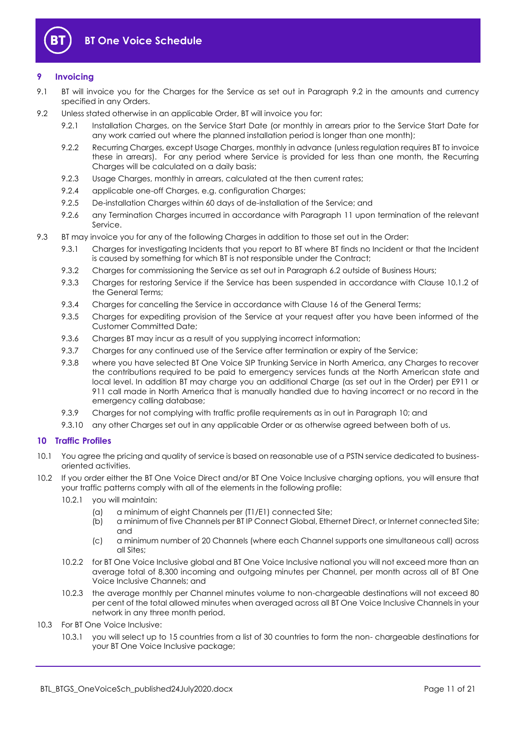

# <span id="page-10-0"></span>**9 Invoicing**

- 9.1 BT will invoice you for the Charges for the Service as set out in Paragraph [9.2](#page-10-3) in the amounts and currency specified in any Orders.
- <span id="page-10-3"></span>9.2 Unless stated otherwise in an applicable Order, BT will invoice you for:
	- 9.2.1 Installation Charges, on the Service Start Date (or monthly in arrears prior to the Service Start Date for any work carried out where the planned installation period is longer than one month);
	- 9.2.2 Recurring Charges, except Usage Charges, monthly in advance (unless regulation requires BT to invoice these in arrears). For any period where Service is provided for less than one month, the Recurring Charges will be calculated on a daily basis;
	- 9.2.3 Usage Charges, monthly in arrears, calculated at the then current rates;
	- 9.2.4 applicable one-off Charges, e.g. configuration Charges;
	- 9.2.5 De-installation Charges within 60 days of de-installation of the Service; and
	- 9.2.6 any Termination Charges incurred in accordance with Paragraph [11](#page-11-0) upon termination of the relevant Service.
- <span id="page-10-2"></span>9.3 BT may invoice you for any of the following Charges in addition to those set out in the Order:
	- 9.3.1 Charges for investigating Incidents that you report to BT where BT finds no Incident or that the Incident is caused by something for which BT is not responsible under the Contract;
	- 9.3.2 Charges for commissioning the Service as set out in Paragraph [6.2](#page-6-2) outside of Business Hours;
	- 9.3.3 Charges for restoring Service if the Service has been suspended in accordance with Clause 10.1.2 of the General Terms;
	- 9.3.4 Charges for cancelling the Service in accordance with Clause 16 of the General Terms;
	- 9.3.5 Charges for expediting provision of the Service at your request after you have been informed of the Customer Committed Date;
	- 9.3.6 Charges BT may incur as a result of you supplying incorrect information;
	- 9.3.7 Charges for any continued use of the Service after termination or expiry of the Service;
	- 9.3.8 where you have selected BT One Voice SIP Trunking Service in North America, any Charges to recover the contributions required to be paid to emergency services funds at the North American state and local level. In addition BT may charge you an additional Charge (as set out in the Order) per E911 or 911 call made in North America that is manually handled due to having incorrect or no record in the emergency calling database;
	- 9.3.9 Charges for not complying with traffic profile requirements as in out in Paragraph [10;](#page-10-1) and
	- 9.3.10 any other Charges set out in any applicable Order or as otherwise agreed between both of us.

## <span id="page-10-1"></span>**10 Traffic Profiles**

- 10.1 You agree the pricing and quality of service is based on reasonable use of a PSTN service dedicated to businessoriented activities.
- 10.2 If you order either the BT One Voice Direct and/or BT One Voice Inclusive charging options, you will ensure that your traffic patterns comply with all of the elements in the following profile:
	- 10.2.1 you will maintain:
		- (a) a minimum of eight Channels per (T1/E1) connected Site;
		- (b) a minimum of five Channels per BT IP Connect Global, Ethernet Direct, or Internet connected Site; and
		- (c) a minimum number of 20 Channels (where each Channel supports one simultaneous call) across all Sites;
	- 10.2.2 for BT One Voice Inclusive global and BT One Voice Inclusive national you will not exceed more than an average total of 8,300 incoming and outgoing minutes per Channel, per month across all of BT One Voice Inclusive Channels; and
	- 10.2.3 the average monthly per Channel minutes volume to non-chargeable destinations will not exceed 80 per cent of the total allowed minutes when averaged across all BT One Voice Inclusive Channels in your network in any three month period.
- 10.3 For BT One Voice Inclusive:
	- 10.3.1 you will select up to 15 countries from a list of 30 countries to form the non- chargeable destinations for your BT One Voice Inclusive package;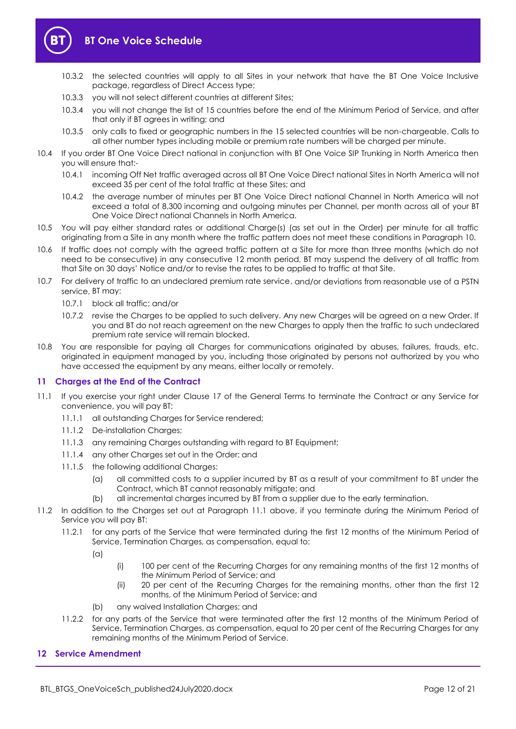

# **BT One Voice Schedule**

- 10.3.2 the selected countries will apply to all Sites in your network that have the BT One Voice Inclusive package, regardless of Direct Access type;
- 10.3.3 you will not select different countries at different Sites;
- 10.3.4 you will not change the list of 15 countries before the end of the Minimum Period of Service, and after that only if BT agrees in writing; and
- 10.3.5 only calls to fixed or geographic numbers in the 15 selected countries will be non-chargeable. Calls to all other number types including mobile or premium rate numbers will be charged per minute.
- 10.4 If you order BT One Voice Direct national in conjunction with BT One Voice SIP Trunking in North America then you will ensure that:-
	- 10.4.1 incoming Off Net traffic averaged across all BT One Voice Direct national Sites in North America will not exceed 35 per cent of the total traffic at these Sites; and
	- 10.4.2 the average number of minutes per BT One Voice Direct national Channel in North America will not exceed a total of 8,300 incoming and outgoing minutes per Channel, per month across all of your BT One Voice Direct national Channels in North America.
- 10.5 You will pay either standard rates or additional Charge(s) (as set out in the Order) per minute for all traffic originating from a Site in any month where the traffic pattern does not meet these conditions in Paragrap[h 10.](#page-10-1)
- 10.6 If traffic does not comply with the agreed traffic pattern at a Site for more than three months (which do not need to be consecutive) in any consecutive 12 month period, BT may suspend the delivery of all traffic from that Site on 30 days' Notice and/or to revise the rates to be applied to traffic at that Site.
- 10.7 For delivery of traffic to an undeclared premium rate service, and/or deviations from reasonable use of a PSTN service, BT may:
	- 10.7.1 block all traffic; and/or
	- 10.7.2 revise the Charges to be applied to such delivery. Any new Charges will be agreed on a new Order. If you and BT do not reach agreement on the new Charges to apply then the traffic to such undeclared premium rate service will remain blocked.
- 10.8 You are responsible for paying all Charges for communications originated by abuses, failures, frauds, etc. originated in equipment managed by you, including those originated by persons not authorized by you who have accessed the equipment by any means, either locally or remotely.

## <span id="page-11-0"></span>**11 Charges at the End of the Contract**

- <span id="page-11-2"></span>11.1 If you exercise your right under Clause 17 of the General Terms to terminate the Contract or any Service for convenience, you will pay BT:
	- 11.1.1 all outstanding Charges for Service rendered;
	- 11.1.2 De-installation Charges;
	- 11.1.3 any remaining Charges outstanding with regard to BT Equipment:
	- 11.1.4 any other Charges set out in the Order; and
	- 11.1.5 the following additional Charges:
		- (a) all committed costs to a supplier incurred by BT as a result of your commitment to BT under the Contract, which BT cannot reasonably mitigate; and
		- (b) all incremental charges incurred by BT from a supplier due to the early termination.
- 11.2 In addition to the Charges set out at Paragraph [11.1](#page-11-2) above, if you terminate during the Minimum Period of Service you will pay BT:
	- 11.2.1 for any parts of the Service that were terminated during the first 12 months of the Minimum Period of Service, Termination Charges, as compensation, equal to:

(a)

- (i) 100 per cent of the Recurring Charges for any remaining months of the first 12 months of the Minimum Period of Service; and
- (ii) 20 per cent of the Recurring Charges for the remaining months, other than the first 12 months, of the Minimum Period of Service; and
- (b) any waived Installation Charges; and
- 11.2.2 for any parts of the Service that were terminated after the first 12 months of the Minimum Period of Service, Termination Charges, as compensation, equal to 20 per cent of the Recurring Charges for any remaining months of the Minimum Period of Service.

## <span id="page-11-1"></span>**12 Service Amendment**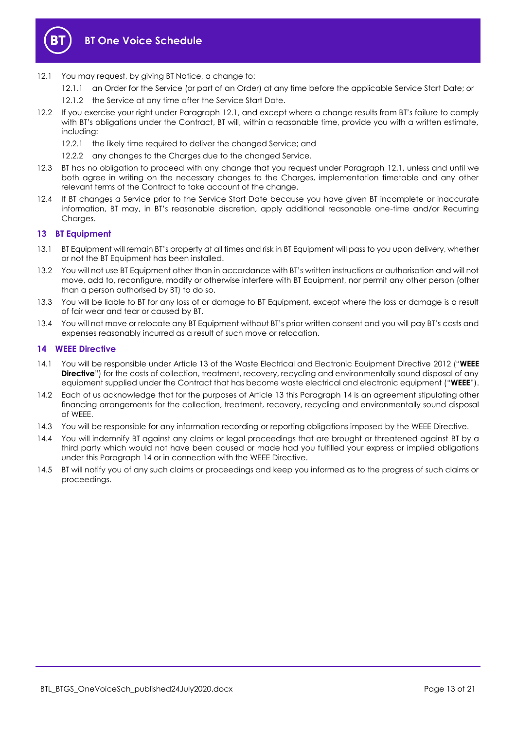

- <span id="page-12-2"></span>12.1 You may request, by giving BT Notice, a change to:
	- 12.1.1 an Order for the Service (or part of an Order) at any time before the applicable Service Start Date; or
	- 12.1.2 the Service at any time after the Service Start Date.
- 12.2 If you exercise your right under Paragraph [12.1](#page-12-2), and except where a change results from BT's failure to comply with BT's obligations under the Contract, BT will, within a reasonable time, provide you with a written estimate, including:
	- 12.2.1 the likely time required to deliver the changed Service; and
	- 12.2.2 any changes to the Charges due to the changed Service.
- 12.3 BT has no obligation to proceed with any change that you request under Paragraph [12.1,](#page-12-2) unless and until we both agree in writing on the necessary changes to the Charges, implementation timetable and any other relevant terms of the Contract to take account of the change.
- 12.4 If BT changes a Service prior to the Service Start Date because you have given BT incomplete or inaccurate information, BT may, in BT's reasonable discretion, apply additional reasonable one-time and/or Recurring Charges.

#### <span id="page-12-0"></span>**13 BT Equipment**

- 13.1 BT Equipment will remain BT's property at all times and risk in BT Equipment will pass to you upon delivery, whether or not the BT Equipment has been installed.
- 13.2 You will not use BT Equipment other than in accordance with BT's written instructions or authorisation and will not move, add to, reconfigure, modify or otherwise interfere with BT Equipment, nor permit any other person (other than a person authorised by BT) to do so.
- 13.3 You will be liable to BT for any loss of or damage to BT Equipment, except where the loss or damage is a result of fair wear and tear or caused by BT.
- 13.4 You will not move or relocate any BT Equipment without BT's prior written consent and you will pay BT's costs and expenses reasonably incurred as a result of such move or relocation.

#### <span id="page-12-1"></span>**14 WEEE Directive**

- <span id="page-12-3"></span>14.1 You will be responsible under Article 13 of the Waste Electrical and Electronic Equipment Directive 2012 ("**WEEE Directive**") for the costs of collection, treatment, recovery, recycling and environmentally sound disposal of any equipment supplied under the Contract that has become waste electrical and electronic equipment ("**WEEE**").
- 14.2 Each of us acknowledge that for the purposes of Article 13 this Paragraph [14](#page-12-1) is an agreement stipulating other financing arrangements for the collection, treatment, recovery, recycling and environmentally sound disposal of WEEE.
- 14.3 You will be responsible for any information recording or reporting obligations imposed by the WEEE Directive.
- 14.4 You will indemnify BT against any claims or legal proceedings that are brought or threatened against BT by a third party which would not have been caused or made had you fulfilled your express or implied obligations under this Paragraph [14](#page-12-1) or in connection with the WEEE Directive.
- 14.5 BT will notify you of any such claims or proceedings and keep you informed as to the progress of such claims or proceedings.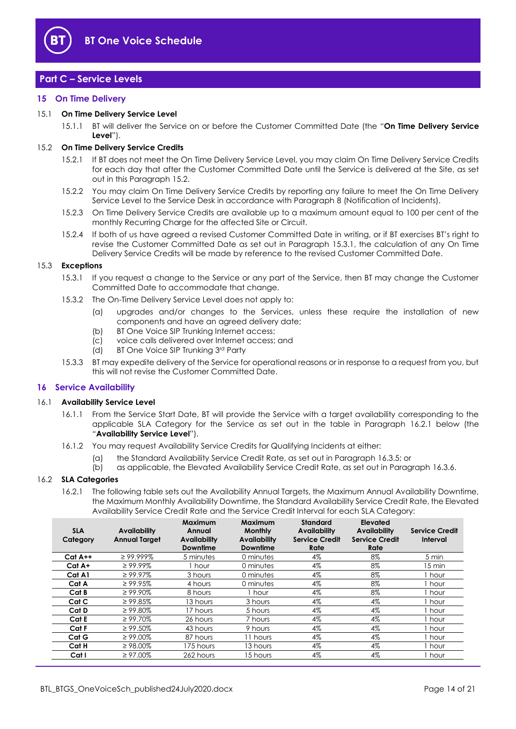

# <span id="page-13-0"></span>**Part C – Service Levels**

#### <span id="page-13-1"></span>**15 On Time Delivery**

#### <span id="page-13-7"></span>15.1 **On Time Delivery Service Level**

15.1.1 BT will deliver the Service on or before the Customer Committed Date (the "**On Time Delivery Service Level**").

#### <span id="page-13-3"></span>15.2 **On Time Delivery Service Credits**

- 15.2.1 If BT does not meet the On Time Delivery Service Level, you may claim On Time Delivery Service Credits for each day that after the Customer Committed Date until the Service is delivered at the Site, as set out in this Paragrap[h 15.2.](#page-13-3)
- 15.2.2 You may claim On Time Delivery Service Credits by reporting any failure to meet the On Time Delivery Service Level to the Service Desk in accordance with Paragrap[h 8](#page-9-0) (Notification of Incidents).
- 15.2.3 On Time Delivery Service Credits are available up to a maximum amount equal to 100 per cent of the monthly Recurring Charge for the affected Site or Circuit.
- 15.2.4 If both of us have agreed a revised Customer Committed Date in writing, or if BT exercises BT's right to revise the Customer Committed Date as set out in Paragraph [15.3.1,](#page-13-4) the calculation of any On Time Delivery Service Credits will be made by reference to the revised Customer Committed Date.

#### <span id="page-13-4"></span>15.3 **Exceptions**

- 15.3.1 If you request a change to the Service or any part of the Service, then BT may change the Customer Committed Date to accommodate that change.
- 15.3.2 The On-Time Delivery Service Level does not apply to:
	- (a) upgrades and/or changes to the Services, unless these require the installation of new components and have an agreed delivery date;
	- (b) BT One Voice SIP Trunking Internet access;
	- (c) voice calls delivered over Internet access; and
	- (d) BT One Voice SIP Trunking 3 rd Party
- 15.3.3 BT may expedite delivery of the Service for operational reasons or in response to a request from you, but this will not revise the Customer Committed Date.

#### <span id="page-13-2"></span>**16 Service Availability**

#### <span id="page-13-6"></span>16.1 **Availability Service Level**

- 16.1.1 From the Service Start Date, BT will provide the Service with a target availability corresponding to the applicable SLA Category for the Service as set out in the table in Paragraph [16.2.1](#page-13-5) below (the "**Availability Service Level**").
- 16.1.2 You may request Availability Service Credits for Qualifying Incidents at either:
	- (a) the Standard Availability Service Credit Rate, as set out in Paragraph [16.3.5;](#page-14-2) or
	- (b) as applicable, the Elevated Availability Service Credit Rate, as set out in Paragraph [16.3.6.](#page-14-3)

#### <span id="page-13-5"></span>16.2 **SLA Categories**

16.2.1 The following table sets out the Availability Annual Targets, the Maximum Annual Availability Downtime, the Maximum Monthly Availability Downtime, the Standard Availability Service Credit Rate, the Elevated Availability Service Credit Rate and the Service Credit Interval for each SLA Category:

| <b>SLA</b><br>Category | Availability<br><b>Annual Target</b> | <b>Maximum</b><br>Annual<br><b>Availability</b><br><b>Downtime</b> | <b>Maximum</b><br><b>Monthly</b><br><b>Availability</b><br><b>Downtime</b> | <b>Standard</b><br><b>Availability</b><br><b>Service Credit</b><br>Rate | Elevated<br><b>Availability</b><br><b>Service Credit</b><br>Rate | <b>Service Credit</b><br>Interval |
|------------------------|--------------------------------------|--------------------------------------------------------------------|----------------------------------------------------------------------------|-------------------------------------------------------------------------|------------------------------------------------------------------|-----------------------------------|
| $Cat A++$              | $\geq$ 99.999%                       | 5 minutes                                                          | 0 minutes                                                                  | 4%                                                                      | 8%                                                               | 5 min                             |
| Cat A+                 | $\geq 99.99\%$                       | 1 hour                                                             | 0 minutes                                                                  | 4%                                                                      | 8%                                                               | 15 min                            |
| Cat A1                 | $\geq 99.97\%$                       | 3 hours                                                            | 0 minutes                                                                  | 4%                                                                      | 8%                                                               | hour                              |
| Cat A                  | $\geq$ 99.95%                        | 4 hours                                                            | 0 minutes                                                                  | 4%                                                                      | 8%                                                               | hour                              |
| Cat B                  | $\geq 99.90\%$                       | 8 hours                                                            | 1 hour                                                                     | 4%                                                                      | 8%                                                               | hour .                            |
| Cat C                  | $\geq$ 99.85%                        | 13 hours                                                           | 3 hours                                                                    | 4%                                                                      | 4%                                                               | hour                              |
| Cat D                  | $\geq 99.80\%$                       | 17 hours                                                           | 5 hours                                                                    | 4%                                                                      | 4%                                                               | , hour                            |
| Cat E                  | $\geq 99.70\%$                       | 26 hours                                                           | 7 hours                                                                    | 4%                                                                      | 4%                                                               | hour .                            |
| Cat F                  | $\geq 99.50\%$                       | 43 hours                                                           | 9 hours                                                                    | 4%                                                                      | $4\%$                                                            | l hour                            |
| Cat G                  | $\geq 99.00\%$                       | 87 hours                                                           | 11 hours                                                                   | 4%                                                                      | 4%                                                               | i hour                            |
| Cat H                  | $\geq$ 98.00%                        | 175 hours                                                          | 13 hours                                                                   | 4%                                                                      | 4%                                                               | hour                              |
| Cat I                  | $\geq 97.00\%$                       | 262 hours                                                          | 15 hours                                                                   | 4%                                                                      | 4%                                                               | ı hour                            |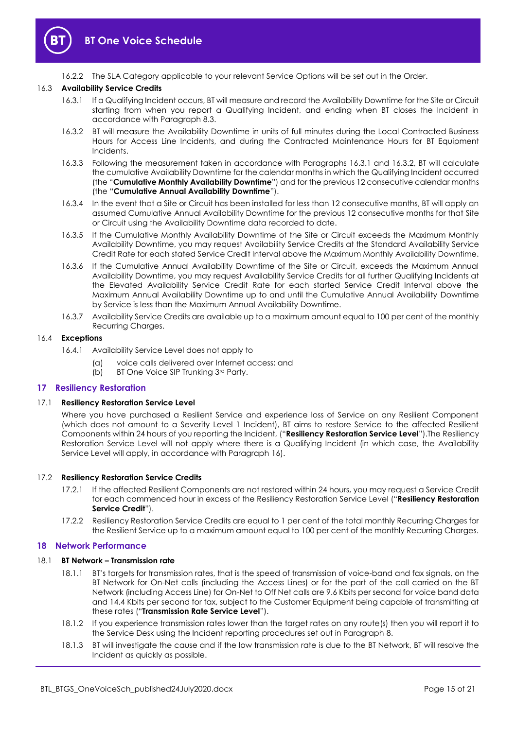

16.2.2 The SLA Category applicable to your relevant Service Options will be set out in the Order.

#### <span id="page-14-4"></span>16.3 **Availability Service Credits**

- 16.3.1 If a Qualifying Incident occurs, BT will measure and record the Availability Downtime for the Site or Circuit starting from when you report a Qualifying Incident, and ending when BT closes the Incident in accordance with Paragraph [8.3.](#page-9-1)
- <span id="page-14-5"></span>16.3.2 BT will measure the Availability Downtime in units of full minutes during the Local Contracted Business Hours for Access Line Incidents, and during the Contracted Maintenance Hours for BT Equipment Incidents.
- <span id="page-14-6"></span>16.3.3 Following the measurement taken in accordance with Paragraphs [16.3.1](#page-14-4) and [16.3.2,](#page-14-5) BT will calculate the cumulative Availability Downtime for the calendar months in which the Qualifying Incident occurred (the "**Cumulative Monthly Availability Downtime**") and for the previous 12 consecutive calendar months (the "**Cumulative Annual Availability Downtime**").
- 16.3.4 In the event that a Site or Circuit has been installed for less than 12 consecutive months, BT will apply an assumed Cumulative Annual Availability Downtime for the previous 12 consecutive months for that Site or Circuit using the Availability Downtime data recorded to date.
- <span id="page-14-2"></span>16.3.5 If the Cumulative Monthly Availability Downtime of the Site or Circuit exceeds the Maximum Monthly Availability Downtime, you may request Availability Service Credits at the Standard Availability Service Credit Rate for each stated Service Credit Interval above the Maximum Monthly Availability Downtime.
- <span id="page-14-3"></span>16.3.6 If the Cumulative Annual Availability Downtime of the Site or Circuit, exceeds the Maximum Annual Availability Downtime, you may request Availability Service Credits for all further Qualifying Incidents at the Elevated Availability Service Credit Rate for each started Service Credit Interval above the Maximum Annual Availability Downtime up to and until the Cumulative Annual Availability Downtime by Service is less than the Maximum Annual Availability Downtime.
- 16.3.7 Availability Service Credits are available up to a maximum amount equal to 100 per cent of the monthly Recurring Charges.

# 16.4 **Exceptions**

- 16.4.1 Availability Service Level does not apply to
	- (a) voice calls delivered over Internet access; and
	- (b) BT One Voice SIP Trunking 3rd Party.

#### <span id="page-14-0"></span>**17 Resiliency Restoration**

#### <span id="page-14-8"></span>17.1 **Resiliency Restoration Service Level**

Where you have purchased a Resilient Service and experience loss of Service on any Resilient Component (which does not amount to a Severity Level 1 Incident), BT aims to restore Service to the affected Resilient Components within 24 hours of you reporting the Incident, ("**Resiliency Restoration Service Level**").The Resiliency Restoration Service Level will not apply where there is a Qualifying Incident (in which case, the Availability Service Level will apply, in accordance with Paragraph [16\)](#page-13-2).

#### <span id="page-14-7"></span>17.2 **Resiliency Restoration Service Credits**

- 17.2.1 If the affected Resilient Components are not restored within 24 hours, you may request a Service Credit for each commenced hour in excess of the Resiliency Restoration Service Level ("**Resiliency Restoration Service Credit**").
- 17.2.2 Resiliency Restoration Service Credits are equal to 1 per cent of the total monthly Recurring Charges for the Resilient Service up to a maximum amount equal to 100 per cent of the monthly Recurring Charges.

#### <span id="page-14-1"></span>**18 Network Performance**

#### <span id="page-14-9"></span>18.1 **BT Network – Transmission rate**

- 18.1.1 BT's targets for transmission rates, that is the speed of transmission of voice-band and fax signals, on the BT Network for On-Net calls (including the Access Lines) or for the part of the call carried on the BT Network (including Access Line) for On-Net to Off Net calls are 9.6 Kbits per second for voice band data and 14.4 Kbits per second for fax, subject to the Customer Equipment being capable of transmitting at these rates ("**Transmission Rate Service Level**").
- 18.1.2 If you experience transmission rates lower than the target rates on any route(s) then you will report it to the Service Desk using the Incident reporting procedures set out in Paragraph [8.](#page-9-0)
- 18.1.3 BT will investigate the cause and if the low transmission rate is due to the BT Network, BT will resolve the Incident as quickly as possible.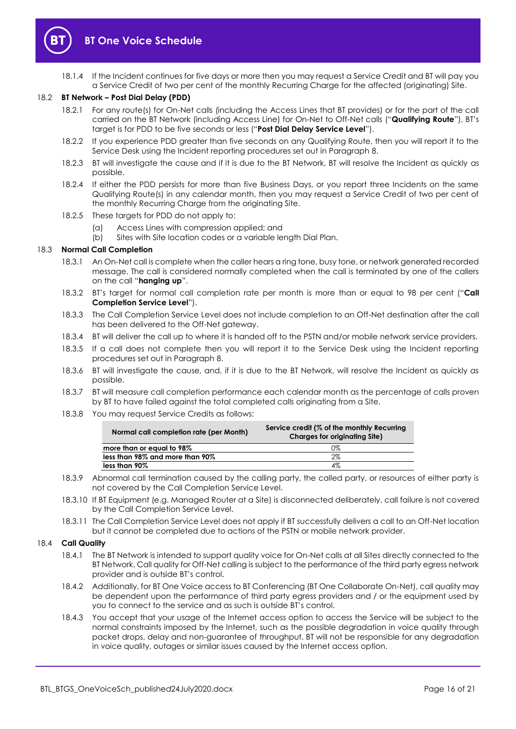

18.1.4 If the Incident continues for five days or more then you may request a Service Credit and BT will pay you a Service Credit of two per cent of the monthly Recurring Charge for the affected (originating) Site.

#### <span id="page-15-1"></span>18.2 **BT Network – Post Dial Delay (PDD)**

- 18.2.1 For any route(s) for On-Net calls (including the Access Lines that BT provides) or for the part of the call carried on the BT Network (including Access Line) for On-Net to Off-Net calls ("**Qualifying Route**"), BT's target is for PDD to be five seconds or less ("**Post Dial Delay Service Level**").
- 18.2.2 If you experience PDD greater than five seconds on any Qualifying Route, then you will report it to the Service Desk using the Incident reporting procedures set out in Paragraph [8.](#page-9-0)
- 18.2.3 BT will investigate the cause and if it is due to the BT Network, BT will resolve the Incident as quickly as possible.
- 18.2.4 If either the PDD persists for more than five Business Days, or you report three Incidents on the same Qualifying Route(s) in any calendar month, then you may request a Service Credit of two per cent of the monthly Recurring Charge from the originating Site.
- 18.2.5 These targets for PDD do not apply to:
	- (a) Access Lines with compression applied; and
	- (b) Sites with Site location codes or a variable length Dial Plan.

#### 18.3 **Normal Call Completion**

- 18.3.1 An On-Net call is complete when the caller hears a ring tone, busy tone, or network generated recorded message. The call is considered normally completed when the call is terminated by one of the callers on the call "**hanging up**".
- <span id="page-15-0"></span>18.3.2 BT's target for normal call completion rate per month is more than or equal to 98 per cent ("**Call Completion Service Level**").
- 18.3.3 The Call Completion Service Level does not include completion to an Off-Net destination after the call has been delivered to the Off-Net gateway.
- 18.3.4 BT will deliver the call up to where it is handed off to the PSTN and/or mobile network service providers.
- 18.3.5 If a call does not complete then you will report it to the Service Desk using the Incident reporting procedures set out in Paragraph [8.](#page-9-0)
- 18.3.6 BT will investigate the cause, and, if it is due to the BT Network, will resolve the Incident as quickly as possible.
- 18.3.7 BT will measure call completion performance each calendar month as the percentage of calls proven by BT to have failed against the total completed calls originating from a Site.
- 18.3.8 You may request Service Credits as follows:

| Normal call completion rate (per Month) | Service credit (% of the monthly Recurring<br><b>Charges for originating Site)</b> |
|-----------------------------------------|------------------------------------------------------------------------------------|
| more than or equal to 98%               | 0%                                                                                 |
| less than 98% and more than 90%         | 2%                                                                                 |
| less than 90%                           | 4%                                                                                 |

- 18.3.9 Abnormal call termination caused by the calling party, the called party, or resources of either party is not covered by the Call Completion Service Level.
- 18.3.10 If BT Equipment (e.g. Managed Router at a Site) is disconnected deliberately, call failure is not covered by the Call Completion Service Level.
- 18.3.11 The Call Completion Service Level does not apply if BT successfully delivers a call to an Off-Net location but it cannot be completed due to actions of the PSTN or mobile network provider.

#### 18.4 **Call Quality**

- 18.4.1 The BT Network is intended to support quality voice for On-Net calls at all Sites directly connected to the BT Network. Call quality for Off-Net calling is subject to the performance of the third party egress network provider and is outside BT's control.
- 18.4.2 Additionally, for BT One Voice access to BT Conferencing (BT One Collaborate On-Net), call quality may be dependent upon the performance of third party egress providers and / or the equipment used by you to connect to the service and as such is outside BT's control.
- 18.4.3 You accept that your usage of the Internet access option to access the Service will be subject to the normal constraints imposed by the Internet, such as the possible degradation in voice quality through packet drops, delay and non-guarantee of throughput. BT will not be responsible for any degradation in voice quality, outages or similar issues caused by the Internet access option.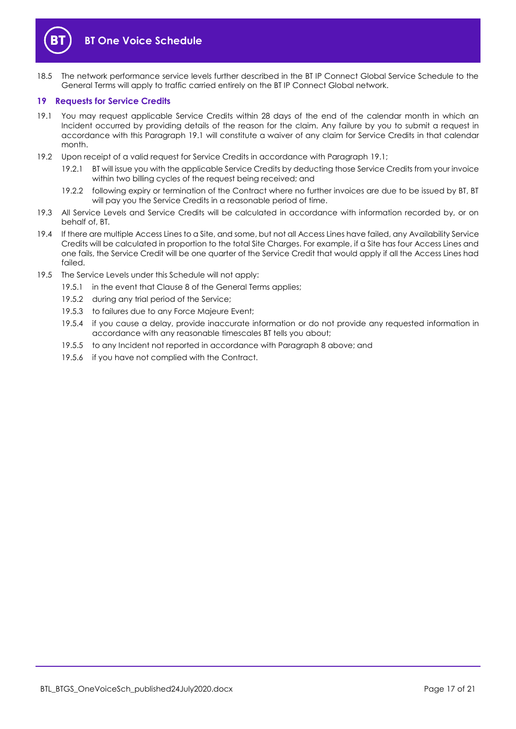

# **BT One Voice Schedule**

18.5 The network performance service levels further described in the BT IP Connect Global Service Schedule to the General Terms will apply to traffic carried entirely on the BT IP Connect Global network.

#### <span id="page-16-0"></span>**19 Requests for Service Credits**

- <span id="page-16-1"></span>19.1 You may request applicable Service Credits within 28 days of the end of the calendar month in which an Incident occurred by providing details of the reason for the claim. Any failure by you to submit a request in accordance with this Paragraph [19.1](#page-16-1) will constitute a waiver of any claim for Service Credits in that calendar month.
- 19.2 Upon receipt of a valid request for Service Credits in accordance with Paragraph [19.1;](#page-16-1)
	- 19.2.1 BT will issue you with the applicable Service Credits by deducting those Service Credits from your invoice within two billing cycles of the request being received; and
	- 19.2.2 following expiry or termination of the Contract where no further invoices are due to be issued by BT, BT will pay you the Service Credits in a reasonable period of time.
- 19.3 All Service Levels and Service Credits will be calculated in accordance with information recorded by, or on behalf of, BT.
- 19.4 If there are multiple Access Lines to a Site, and some, but not all Access Lines have failed, any Availability Service Credits will be calculated in proportion to the total Site Charges. For example, if a Site has four Access Lines and one fails, the Service Credit will be one quarter of the Service Credit that would apply if all the Access Lines had failed.
- 19.5 The Service Levels under this Schedule will not apply:
	- 19.5.1 in the event that Clause 8 of the General Terms applies;
	- 19.5.2 during any trial period of the Service;
	- 19.5.3 to failures due to any Force Majeure Event;
	- 19.5.4 if you cause a delay, provide inaccurate information or do not provide any requested information in accordance with any reasonable timescales BT tells you about;
	- 19.5.5 to any Incident not reported in accordance with Paragraph [8](#page-9-0) above; and
	- 19.5.6 if you have not complied with the Contract.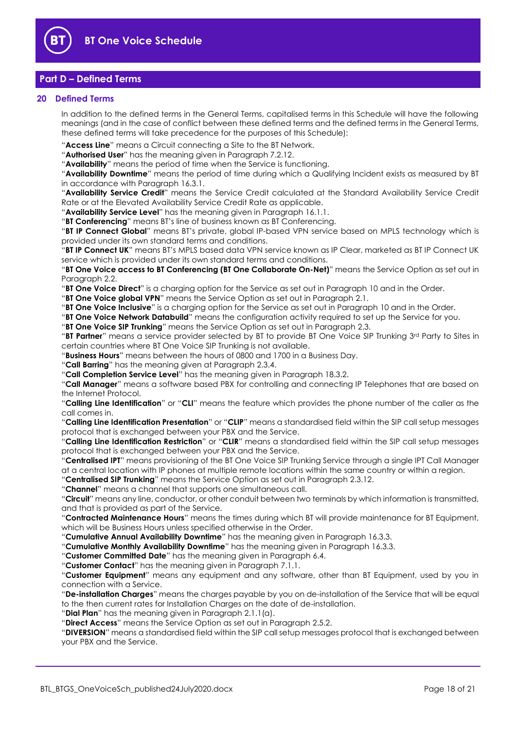

# <span id="page-17-0"></span>**Part D – Defined Terms**

#### <span id="page-17-1"></span>**20 Defined Terms**

In addition to the defined terms in the General Terms, capitalised terms in this Schedule will have the following meanings (and in the case of conflict between these defined terms and the defined terms in the General Terms, these defined terms will take precedence for the purposes of this Schedule):

"**Access Line**" means a Circuit connecting a Site to the BT Network.

"**Authorised User**" has the meaning given in Paragraph [7.2.12.](#page-9-2)

"**Availability**" means the period of time when the Service is functioning.

"**Availability Downtime**" means the period of time during which a Qualifying Incident exists as measured by BT in accordance with Paragrap[h 16.3.1.](#page-14-4)

"**Availability Service Credit**" means the Service Credit calculated at the Standard Availability Service Credit Rate or at the Elevated Availability Service Credit Rate as applicable.

"**Availability Service Level**" has the meaning given in Paragraph [16.1.1.](#page-13-6)

"**BT Conferencing**" means BT's line of business known as BT Conferencing.

"**BT IP Connect Global**" means BT's private, global IP-based VPN service based on MPLS technology which is provided under its own standard terms and conditions.

"**BT IP Connect UK**" means BT's MPLS based data VPN service known as IP Clear, marketed as BT IP Connect UK service which is provided under its own standard terms and conditions.

"**BT One Voice access to BT Conferencing (BT One Collaborate On-Net)**" means the Service Option as set out in Paragraph [2.2.](#page-1-5)

"**BT One Voice Direct**" is a charging option for the Service as set out in Paragraph [10](#page-10-1) and in the Order.

"**BT One Voice global VPN**" means the Service Option as set out in Paragraph [2.1.](#page-1-6)

"**BT One Voice Inclusive**" is a charging option for the Service as set out in Paragrap[h 10](#page-10-1) and in the Order.

"**BT One Voice Network Databuild**" means the configuration activity required to set up the Service for you.

"**BT One Voice SIP Trunking**" means the Service Option as set out in Paragraph [2.3.](#page-1-7)

"BT Partner" means a service provider selected by BT to provide BT One Voice SIP Trunking 3rd Party to Sites in certain countries where BT One Voice SIP Trunking is not available.

"**Business Hours**" means between the hours of 0800 and 1700 in a Business Day.

"**Call Barring**" has the meaning given at Paragraph [2.3.4.](#page-1-8)

"**Call Completion Service Level**" has the meaning given in Paragraph [18.3.2.](#page-15-0)

"**Call Manager**" means a software based PBX for controlling and connecting IP Telephones that are based on the Internet Protocol.

"**Calling Line Identification**" or "**CLI**" means the feature which provides the phone number of the caller as the call comes in.

"**Calling Line Identification Presentation**" or "**CLIP**" means a standardised field within the SIP call setup messages protocol that is exchanged between your PBX and the Service.

"**Calling Line Identification Restriction**" or "**CLIR**" means a standardised field within the SIP call setup messages protocol that is exchanged between your PBX and the Service.

"**Centralised IPT**" means provisioning of the BT One Voice SIP Trunking Service through a single IPT Call Manager at a central location with IP phones at multiple remote locations within the same country or within a region.

"**Centralised SIP Trunking**" means the Service Option as set out in Paragraph [2.3.12.](#page-2-0)

"**Channel**" means a channel that supports one simultaneous call.

"**Circuit**" means any line, conductor, or other conduit between two terminals by which information is transmitted, and that is provided as part of the Service.

"**Contracted Maintenance Hours**" means the times during which BT will provide maintenance for BT Equipment, which will be Business Hours unless specified otherwise in the Order.

"**Cumulative Annual Availability Downtime**" has the meaning given in Paragraph [16.3.3.](#page-14-6)

"**Cumulative Monthly Availability Downtime**" has the meaning given in Paragrap[h 16.3.3.](#page-14-6)

"**Customer Committed Date**" has the meaning given in Paragraph [6.4.](#page-7-1)

"**Customer Contact**" has the meaning given in Paragraph [7.1.1.](#page-7-2)

"**Customer Equipment**" means any equipment and any software, other than BT Equipment, used by you in connection with a Service.

"**De-installation Charges**" means the charges payable by you on de-installation of the Service that will be equal to the then current rates for Installation Charges on the date of de-installation.

"**Dial Plan**" has the meaning given in Paragraph [2.1.1\(a\).](#page-1-9)

"**Direct Access**" means the Service Option as set out in Paragrap[h 2.5.2.](#page-3-4)

"**DIVERSION**" means a standardised field within the SIP call setup messages protocol that is exchanged between your PBX and the Service.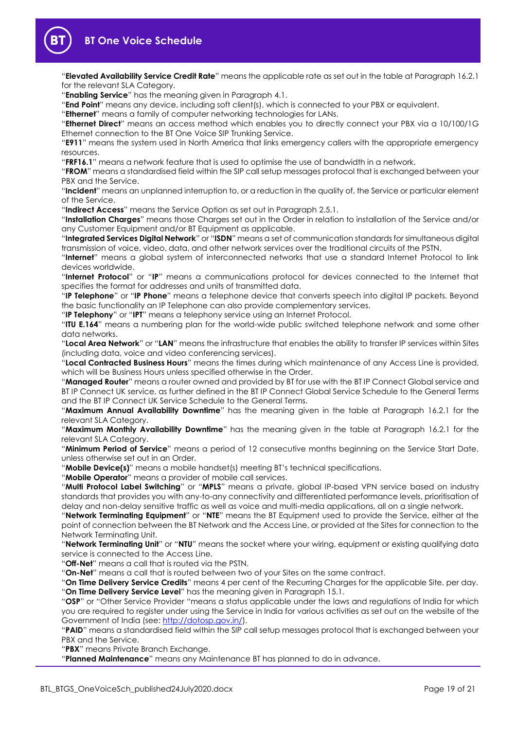

"**Elevated Availability Service Credit Rate**" means the applicable rate as set out in the table at Paragraph [16.2.1](#page-13-5) for the relevant SLA Category.

"**Enabling Service**" has the meaning given in Paragrap[h 4.1.](#page-4-3)

"**End Point**" means any device, including soft client(s), which is connected to your PBX or equivalent.

"**Ethernet**" means a family of computer networking technologies for LANs.

"**Ethernet Direct**" means an access method which enables you to directly connect your PBX via a 10/100/1G Ethernet connection to the BT One Voice SIP Trunking Service.

"**E911**" means the system used in North America that links emergency callers with the appropriate emergency resources.

"**FRF16.1**" means a network feature that is used to optimise the use of bandwidth in a network.

"**FROM**" means a standardised field within the SIP call setup messages protocol that is exchanged between your PBX and the Service.

"**Incident**" means an unplanned interruption to, or a reduction in the quality of, the Service or particular element of the Service.

"**Indirect Access**" means the Service Option as set out in Paragraph [2.5.1.](#page-3-5)

"**Installation Charges**" means those Charges set out in the Order in relation to installation of the Service and/or any Customer Equipment and/or BT Equipment as applicable.

"**Integrated Services Digital Network**" or "**ISDN**" means a set of communication standards for simultaneous digital transmission of voice, video, data, and other network services over the traditional circuits of the PSTN.

"**Internet**" means a global system of interconnected networks that use a standard Internet Protocol to link devices worldwide.

"**Internet Protocol**" or "**IP**" means a communications protocol for devices connected to the Internet that specifies the format for addresses and units of transmitted data.

"**IP Telephone**" or "**IP Phone**" means a telephone device that converts speech into digital IP packets. Beyond the basic functionality an IP Telephone can also provide complementary services.

"**IP Telephony**" or "**IPT**" means a telephony service using an Internet Protocol.

"**ITU E.164**" means a numbering plan for the world-wide public switched telephone network and some other data networks.

"**Local Area Network**" or "**LAN**" means the infrastructure that enables the ability to transfer IP services within Sites (including data, voice and video conferencing services).

"**Local Contracted Business Hours**" means the times during which maintenance of any Access Line is provided, which will be Business Hours unless specified otherwise in the Order.

"**Managed Router**" means a router owned and provided by BT for use with the BT IP Connect Global service and BT IP Connect UK service, as further defined in the BT IP Connect Global Service Schedule to the General Terms and the BT IP Connect UK Service Schedule to the General Terms.

"**Maximum Annual Availability Downtime**" has the meaning given in the table at Paragraph [16.2.1](#page-13-5) for the relevant SLA Category.

"**Maximum Monthly Availability Downtime**" has the meaning given in the table at Paragraph [16.2.1](#page-13-5) for the relevant SLA Category.

"**Minimum Period of Service**" means a period of 12 consecutive months beginning on the Service Start Date, unless otherwise set out in an Order.

"**Mobile Device(s)**" means a mobile handset(s) meeting BT's technical specifications.

"**Mobile Operator**" means a provider of mobile call services.

"**Multi Protocol Label Switching**" or "**MPLS**" means a private, global IP-based VPN service based on industry standards that provides you with any-to-any connectivity and differentiated performance levels, prioritisation of delay and non-delay sensitive traffic as well as voice and multi-media applications, all on a single network.

"**Network Terminating Equipment**" or "**NTE**" means the BT Equipment used to provide the Service, either at the point of connection between the BT Network and the Access Line, or provided at the Sites for connection to the Network Terminating Unit.

"**Network Terminating Unit**" or "**NTU**" means the socket where your wiring, equipment or existing qualifying data service is connected to the Access Line.

"**Off-Net**" means a call that is routed via the PSTN.

"**On-Net**" means a call that is routed between two of your Sites on the same contract.

"**On Time Delivery Service Credits**" means 4 per cent of the Recurring Charges for the applicable Site, per day. "**On Time Delivery Service Level**" has the meaning given in Paragrap[h 15.1.](#page-13-7)

"**OSP**" or "Other Service Provider "means a status applicable under the laws and regulations of India for which you are required to register under using the Service in India for various activities as set out on the website of the Government of India (see: [http://dotosp.gov.in/\)](http://dotosp.gov.in/).

"**PAID**" means a standardised field within the SIP call setup messages protocol that is exchanged between your PBX and the Service.

"**PBX**" means Private Branch Exchange.

"**Planned Maintenance**" means any Maintenance BT has planned to do in advance.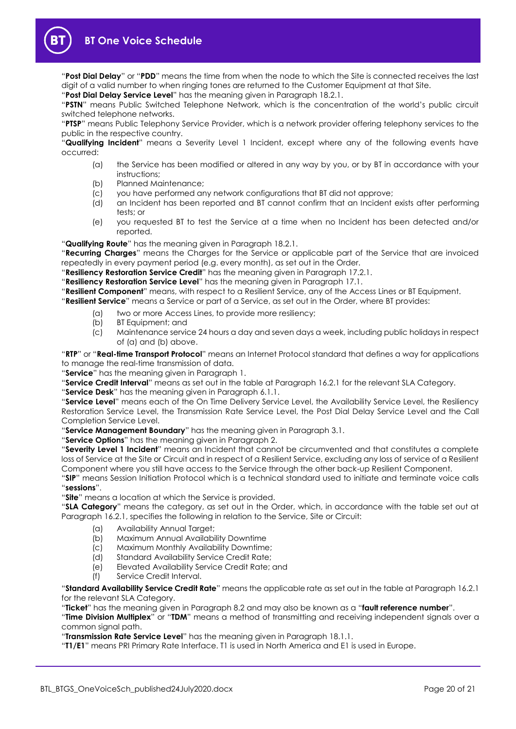

"**Post Dial Delay**" or "**PDD**" means the time from when the node to which the Site is connected receives the last digit of a valid number to when ringing tones are returned to the Customer Equipment at that Site.

"**Post Dial Delay Service Level**" has the meaning given in Paragrap[h 18.2.1.](#page-15-1)

"**PSTN**" means Public Switched Telephone Network, which is the concentration of the world's public circuit switched telephone networks.

"**PTSP**" means Public Telephony Service Provider, which is a network provider offering telephony services to the public in the respective country.

"**Qualifying Incident**" means a Severity Level 1 Incident, except where any of the following events have occurred:

- (a) the Service has been modified or altered in any way by you, or by BT in accordance with your instructions;
- (b) Planned Maintenance;
- (c) you have performed any network configurations that BT did not approve;
- (d) an Incident has been reported and BT cannot confirm that an Incident exists after performing tests; or
- (e) you requested BT to test the Service at a time when no Incident has been detected and/or reported.

"**Qualifying Route**" has the meaning given in Paragraph [18.2.1.](#page-15-1)

"**Recurring Charges**" means the Charges for the Service or applicable part of the Service that are invoiced repeatedly in every payment period (e.g. every month), as set out in the Order.

"**Resiliency Restoration Service Credit**" has the meaning given in Paragraph [17.2.1.](#page-14-7)

"**Resiliency Restoration Service Level**" has the meaning given in Paragrap[h 17.1.](#page-14-8)

"**Resilient Component**" means, with respect to a Resilient Service, any of the Access Lines or BT Equipment.

"**Resilient Service**" means a Service or part of a Service, as set out in the Order, where BT provides:

- (a) two or more Access Lines, to provide more resiliency;
- (b) BT Equipment; and
- (c) Maintenance service 24 hours a day and seven days a week, including public holidays in respect of (a) and (b) above.

"**RTP**" or "**Real-time Transport Protocol**" means an Internet Protocol standard that defines a way for applications to manage the real-time transmission of data.

"**Service**" has the meaning given in Paragraph [1.](#page-1-3)

"**Service Credit Interval**" means as set out in the table at Paragraph [16.2.1](#page-13-5) for the relevant SLA Category.

"**Service Desk**" has the meaning given in Paragraph [6.1.1.](#page-6-3)

"**Service Level**" means each of the On Time Delivery Service Level, the Availability Service Level, the Resiliency Restoration Service Level, the Transmission Rate Service Level, the Post Dial Delay Service Level and the Call Completion Service Level.

"**Service Management Boundary**" has the meaning given in Paragrap[h 3.1.](#page-3-2)

"**Service Options**" has the meaning given in Paragraph [2.](#page-1-4)

"**Severity Level 1 Incident**" means an Incident that cannot be circumvented and that constitutes a complete loss of Service at the Site or Circuit and in respect of a Resilient Service, excluding any loss of service of a Resilient Component where you still have access to the Service through the other back-up Resilient Component.

"**SIP**" means Session Initiation Protocol which is a technical standard used to initiate and terminate voice calls "**sessions**".

"**Site**" means a location at which the Service is provided.

"**SLA Category**" means the category, as set out in the Order, which, in accordance with the table set out at Paragraph [16.2.1,](#page-13-5) specifies the following in relation to the Service, Site or Circuit:

- (a) Availability Annual Target;
- (b) Maximum Annual Availability Downtime
- (c) Maximum Monthly Availability Downtime;
- (d) Standard Availability Service Credit Rate;
- (e) Elevated Availability Service Credit Rate; and
- (f) Service Credit Interval.

"**Standard Availability Service Credit Rate**" means the applicable rate as set out in the table at Paragraph [16.2.1](#page-13-5) for the relevant SLA Category.

"**Ticket**" has the meaning given in Paragrap[h 8.2](#page-9-3) and may also be known as a "**fault reference number**".

"**Time Division Multiplex**" or "**TDM**" means a method of transmitting and receiving independent signals over a common signal path.

"**Transmission Rate Service Level**" has the meaning given in Paragraph [18.1.1.](#page-14-9)

"**T1/E1**" means PRI Primary Rate Interface. T1 is used in North America and E1 is used in Europe.